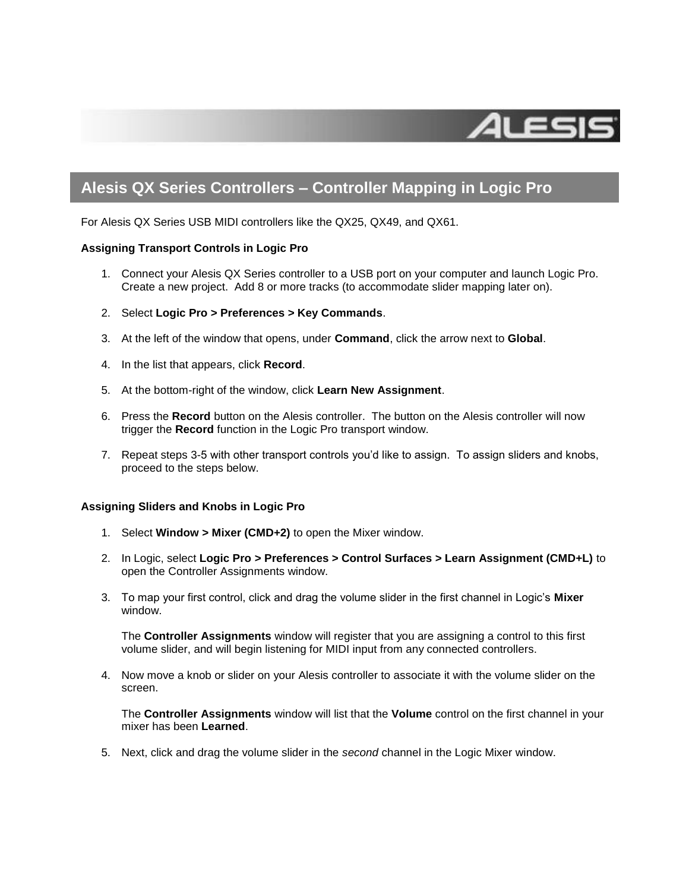

# **Alesis QX Series Controllers – Controller Mapping in Logic Pro**

For Alesis QX Series USB MIDI controllers like the QX25, QX49, and QX61.

# **Assigning Transport Controls in Logic Pro**

- 1. Connect your Alesis QX Series controller to a USB port on your computer and launch Logic Pro. Create a new project. Add 8 or more tracks (to accommodate slider mapping later on).
- 2. Select **Logic Pro > Preferences > Key Commands**.
- 3. At the left of the window that opens, under **Command**, click the arrow next to **Global**.
- 4. In the list that appears, click **Record**.
- 5. At the bottom-right of the window, click **Learn New Assignment**.
- 6. Press the **Record** button on the Alesis controller. The button on the Alesis controller will now trigger the **Record** function in the Logic Pro transport window.
- 7. Repeat steps 3-5 with other transport controls you'd like to assign. To assign sliders and knobs, proceed to the steps below.

# **Assigning Sliders and Knobs in Logic Pro**

- 1. Select **Window > Mixer (CMD+2)** to open the Mixer window.
- 2. In Logic, select **Logic Pro > Preferences > Control Surfaces > Learn Assignment (CMD+L)** to open the Controller Assignments window.
- 3. To map your first control, click and drag the volume slider in the first channel in Logic's **Mixer** window.

The **Controller Assignments** window will register that you are assigning a control to this first volume slider, and will begin listening for MIDI input from any connected controllers.

4. Now move a knob or slider on your Alesis controller to associate it with the volume slider on the screen.

The **Controller Assignments** window will list that the **Volume** control on the first channel in your mixer has been **Learned**.

5. Next, click and drag the volume slider in the *second* channel in the Logic Mixer window.